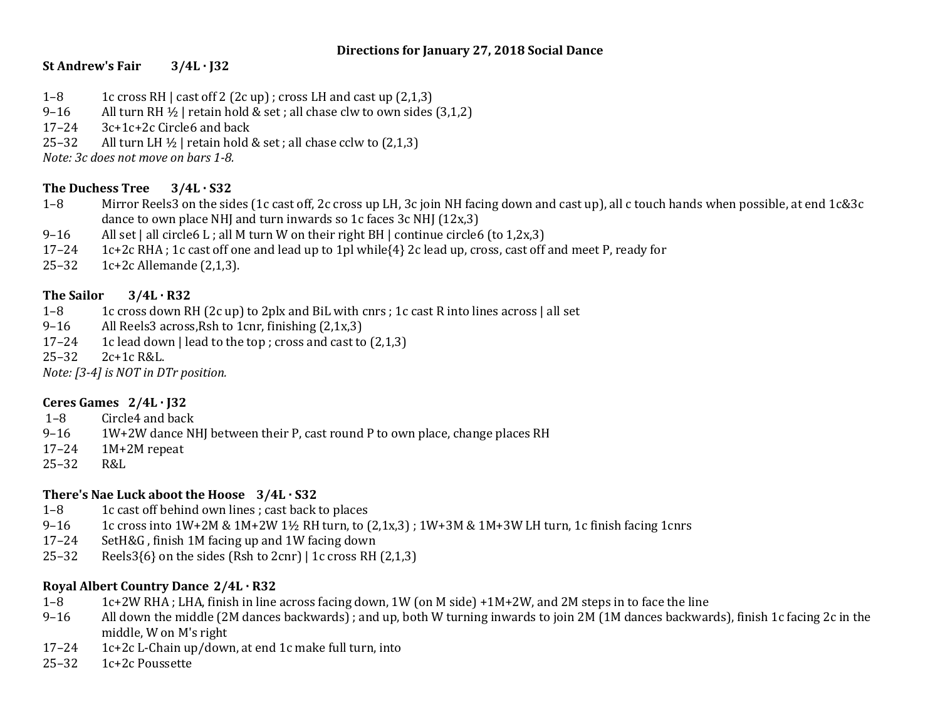#### **Directions for January 27, 2018 Social Dance**

# **St Andrew's Fair 3/4L · J32**

- 1–8 1c cross RH | cast off 2 (2c up) ; cross LH and cast up (2,1,3)
- 9–16 All turn RH  $\frac{1}{2}$  | retain hold & set ; all chase clw to own sides (3,1,2)
- 17–24 3c+1c+2c Circle6 and back
- 25–32 All turn LH  $\frac{1}{2}$  | retain hold & set ; all chase cclw to  $(2,1,3)$

*Note: 3c does not move on bars 1-8.*

## **The Duchess Tree 3/4L · S32**

- 1–8 Mirror Reels3 on the sides (1c cast off, 2c cross up LH, 3c join NH facing down and cast up), all c touch hands when possible, at end 1c&3c dance to own place NHJ and turn inwards so 1c faces 3c NHJ (12x,3)
- 9–16 All set | all circle6 L; all M turn W on their right BH | continue circle6 (to 1,2x,3)
- 17–24 1c+2c RHA ; 1c cast off one and lead up to 1pl while{4} 2c lead up, cross, cast off and meet P, ready for
- 25–32 1c+2c Allemande (2,1,3).

## **The Sailor 3/4L · R32**

- 1–8 1c cross down RH (2c up) to 2plx and BiL with cnrs ; 1c cast R into lines across | all set
- 9–16 All Reels3 across,Rsh to 1cnr, finishing (2,1x,3)
- 17–24 1c lead down | lead to the top ; cross and cast to  $(2,1,3)$
- 25–32 2c+1c R&L.

*Note: [3-4] is NOT in DTr position.*

## **Ceres Games 2/4L · J32**

- 1–8 Circle4 and back
- 9-16 1W+2W dance NHJ between their P, cast round P to own place, change places RH
- 17–24 1M+2M repeat
- 25–32 R&L

## **There's Nae Luck aboot the Hoose 3/4L · S32**

- 1–8 1c cast off behind own lines ; cast back to places
- 9–16 1c cross into  $1W+2M \& 1M+2W$  1½ RH turn, to  $(2,1x,3)$ ;  $1W+3M \& 1M+3W$  LH turn, 1c finish facing 1cnrs
- 17–24 SetH&G , finish 1M facing up and 1W facing down
- 25–32 Reels  $3{6}$  on the sides (Rsh to 2cnr) | 1c cross RH (2,1,3)

## **Royal Albert Country Dance 2/4L · R32**

- 1–8 1c+2W RHA ; LHA, finish in line across facing down, 1W (on M side) +1M+2W, and 2M steps in to face the line
- 9–16 All down the middle (2M dances backwards) ; and up, both W turning inwards to join 2M (1M dances backwards), finish 1c facing 2c in the middle, W on M's right
- 17–24 1c+2c L-Chain up/down, at end 1c make full turn, into
- 25–32 1c+2c Poussette